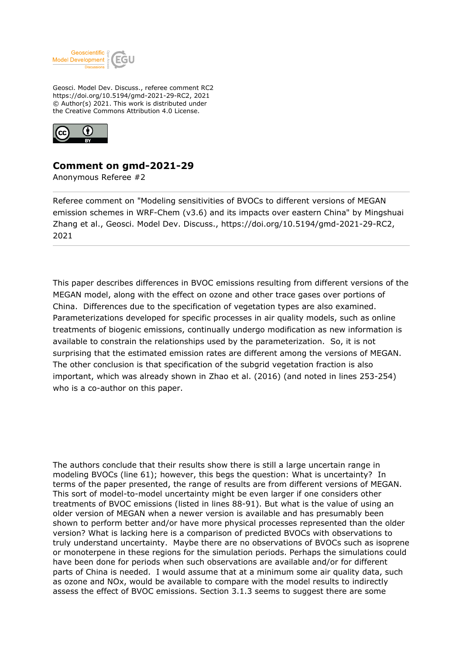

Geosci. Model Dev. Discuss., referee comment RC2 https://doi.org/10.5194/gmd-2021-29-RC2, 2021 © Author(s) 2021. This work is distributed under the Creative Commons Attribution 4.0 License.



## **Comment on gmd-2021-29**

Anonymous Referee #2

Referee comment on "Modeling sensitivities of BVOCs to different versions of MEGAN emission schemes in WRF-Chem (v3.6) and its impacts over eastern China" by Mingshuai Zhang et al., Geosci. Model Dev. Discuss., https://doi.org/10.5194/gmd-2021-29-RC2, 2021

This paper describes differences in BVOC emissions resulting from different versions of the MEGAN model, along with the effect on ozone and other trace gases over portions of China. Differences due to the specification of vegetation types are also examined. Parameterizations developed for specific processes in air quality models, such as online treatments of biogenic emissions, continually undergo modification as new information is available to constrain the relationships used by the parameterization. So, it is not surprising that the estimated emission rates are different among the versions of MEGAN. The other conclusion is that specification of the subgrid vegetation fraction is also important, which was already shown in Zhao et al. (2016) (and noted in lines 253-254) who is a co-author on this paper.

The authors conclude that their results show there is still a large uncertain range in modeling BVOCs (line 61); however, this begs the question: What is uncertainty? In terms of the paper presented, the range of results are from different versions of MEGAN. This sort of model-to-model uncertainty might be even larger if one considers other treatments of BVOC emissions (listed in lines 88-91). But what is the value of using an older version of MEGAN when a newer version is available and has presumably been shown to perform better and/or have more physical processes represented than the older version? What is lacking here is a comparison of predicted BVOCs with observations to truly understand uncertainty. Maybe there are no observations of BVOCs such as isoprene or monoterpene in these regions for the simulation periods. Perhaps the simulations could have been done for periods when such observations are available and/or for different parts of China is needed. I would assume that at a minimum some air quality data, such as ozone and NOx, would be available to compare with the model results to indirectly assess the effect of BVOC emissions. Section 3.1.3 seems to suggest there are some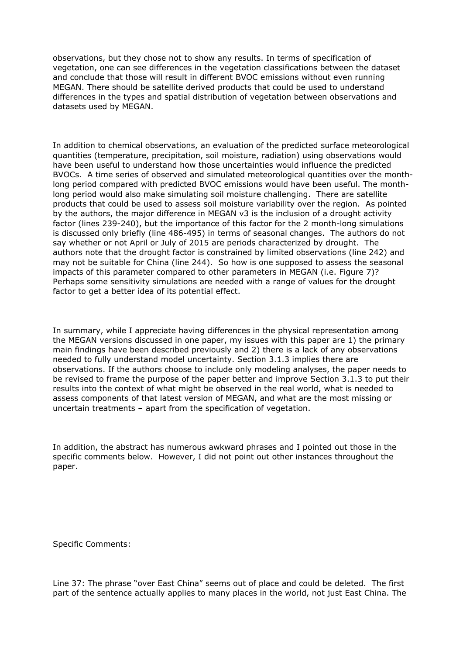observations, but they chose not to show any results. In terms of specification of vegetation, one can see differences in the vegetation classifications between the dataset and conclude that those will result in different BVOC emissions without even running MEGAN. There should be satellite derived products that could be used to understand differences in the types and spatial distribution of vegetation between observations and datasets used by MEGAN.

In addition to chemical observations, an evaluation of the predicted surface meteorological quantities (temperature, precipitation, soil moisture, radiation) using observations would have been useful to understand how those uncertainties would influence the predicted BVOCs. A time series of observed and simulated meteorological quantities over the monthlong period compared with predicted BVOC emissions would have been useful. The monthlong period would also make simulating soil moisture challenging. There are satellite products that could be used to assess soil moisture variability over the region. As pointed by the authors, the major difference in MEGAN v3 is the inclusion of a drought activity factor (lines 239-240), but the importance of this factor for the 2 month-long simulations is discussed only briefly (line 486-495) in terms of seasonal changes. The authors do not say whether or not April or July of 2015 are periods characterized by drought. The authors note that the drought factor is constrained by limited observations (line 242) and may not be suitable for China (line 244). So how is one supposed to assess the seasonal impacts of this parameter compared to other parameters in MEGAN (i.e. Figure 7)? Perhaps some sensitivity simulations are needed with a range of values for the drought factor to get a better idea of its potential effect.

In summary, while I appreciate having differences in the physical representation among the MEGAN versions discussed in one paper, my issues with this paper are 1) the primary main findings have been described previously and 2) there is a lack of any observations needed to fully understand model uncertainty. Section 3.1.3 implies there are observations. If the authors choose to include only modeling analyses, the paper needs to be revised to frame the purpose of the paper better and improve Section 3.1.3 to put their results into the context of what might be observed in the real world, what is needed to assess components of that latest version of MEGAN, and what are the most missing or uncertain treatments – apart from the specification of vegetation.

In addition, the abstract has numerous awkward phrases and I pointed out those in the specific comments below. However, I did not point out other instances throughout the paper.

Specific Comments:

Line 37: The phrase "over East China" seems out of place and could be deleted. The first part of the sentence actually applies to many places in the world, not just East China. The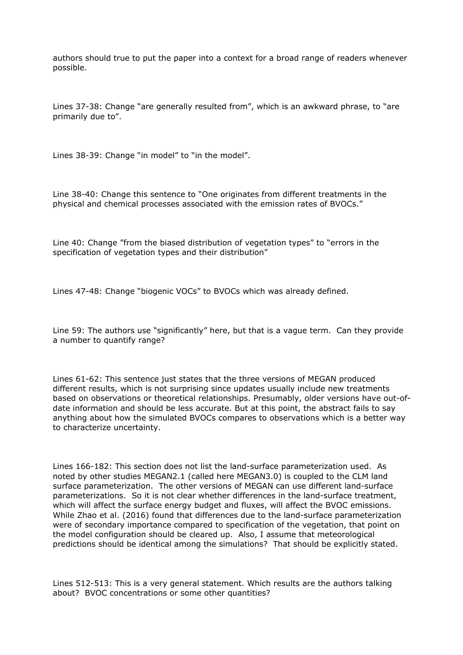authors should true to put the paper into a context for a broad range of readers whenever possible.

Lines 37-38: Change "are generally resulted from", which is an awkward phrase, to "are primarily due to".

Lines 38-39: Change "in model" to "in the model".

Line 38-40: Change this sentence to "One originates from different treatments in the physical and chemical processes associated with the emission rates of BVOCs."

Line 40: Change "from the biased distribution of vegetation types" to "errors in the specification of vegetation types and their distribution"

Lines 47-48: Change "biogenic VOCs" to BVOCs which was already defined.

Line 59: The authors use "significantly" here, but that is a vague term. Can they provide a number to quantify range?

Lines 61-62: This sentence just states that the three versions of MEGAN produced different results, which is not surprising since updates usually include new treatments based on observations or theoretical relationships. Presumably, older versions have out-ofdate information and should be less accurate. But at this point, the abstract fails to say anything about how the simulated BVOCs compares to observations which is a better way to characterize uncertainty.

Lines 166-182: This section does not list the land-surface parameterization used. As noted by other studies MEGAN2.1 (called here MEGAN3.0) is coupled to the CLM land surface parameterization. The other versions of MEGAN can use different land-surface parameterizations. So it is not clear whether differences in the land-surface treatment, which will affect the surface energy budget and fluxes, will affect the BVOC emissions. While Zhao et al. (2016) found that differences due to the land-surface parameterization were of secondary importance compared to specification of the vegetation, that point on the model configuration should be cleared up. Also, I assume that meteorological predictions should be identical among the simulations? That should be explicitly stated.

Lines 512-513: This is a very general statement. Which results are the authors talking about? BVOC concentrations or some other quantities?